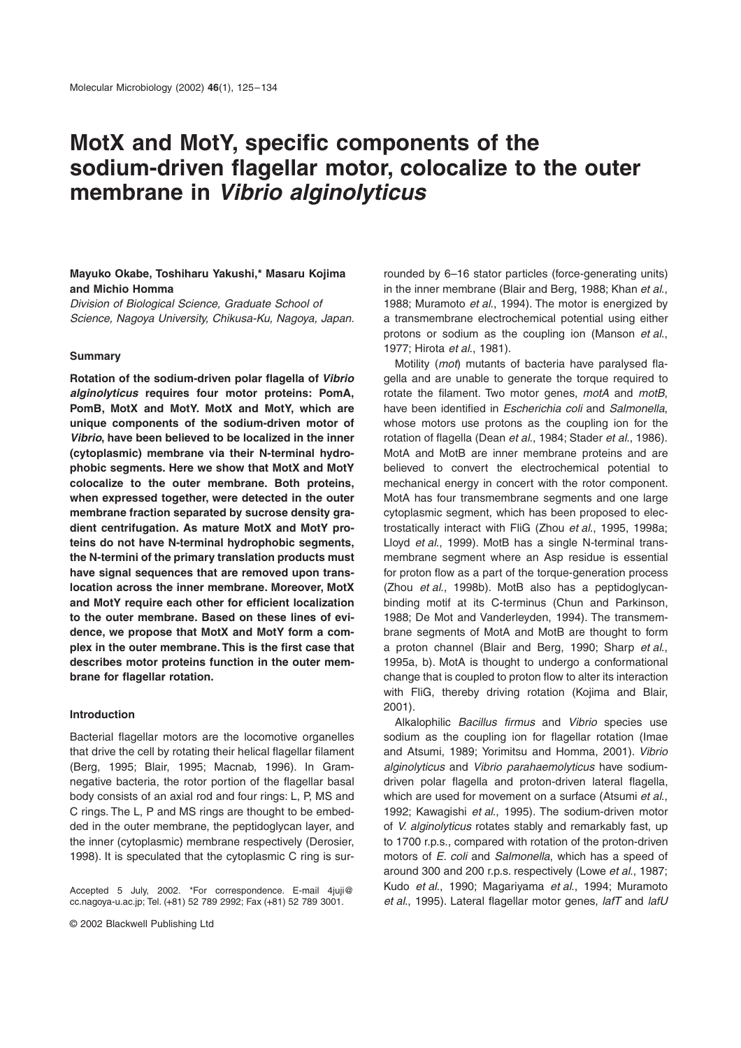# **MotX and MotY, specific components of the sodium-driven flagellar motor, colocalize to the outer membrane in** *Vibrio alginolyticus*

# **Mayuko Okabe, Toshiharu Yakushi,\* Masaru Kojima and Michio Homma**

*Division of Biological Science, Graduate School of Science, Nagoya University, Chikusa-Ku, Nagoya, Japan.*

## **Summary**

**Rotation of the sodium-driven polar flagella of** *Vibrio alginolyticus* **requires four motor proteins: PomA, PomB, MotX and MotY. MotX and MotY, which are unique components of the sodium-driven motor of** *Vibrio***, have been believed to be localized in the inner (cytoplasmic) membrane via their N-terminal hydrophobic segments. Here we show that MotX and MotY colocalize to the outer membrane. Both proteins, when expressed together, were detected in the outer membrane fraction separated by sucrose density gradient centrifugation. As mature MotX and MotY proteins do not have N-terminal hydrophobic segments, the N-termini of the primary translation products must have signal sequences that are removed upon translocation across the inner membrane. Moreover, MotX and MotY require each other for efficient localization to the outer membrane. Based on these lines of evidence, we propose that MotX and MotY form a complex in the outer membrane. This is the first case that describes motor proteins function in the outer membrane for flagellar rotation.**

#### **Introduction**

Bacterial flagellar motors are the locomotive organelles that drive the cell by rotating their helical flagellar filament (Berg, 1995; Blair, 1995; Macnab, 1996). In Gramnegative bacteria, the rotor portion of the flagellar basal body consists of an axial rod and four rings: L, P, MS and C rings. The L, P and MS rings are thought to be embedded in the outer membrane, the peptidoglycan layer, and the inner (cytoplasmic) membrane respectively (Derosier, 1998). It is speculated that the cytoplasmic C ring is sur-

rounded by 6–16 stator particles (force-generating units) in the inner membrane (Blair and Berg, 1988; Khan *et al*., 1988; Muramoto *et al*., 1994). The motor is energized by a transmembrane electrochemical potential using either protons or sodium as the coupling ion (Manson *et al*., 1977; Hirota *et al*., 1981).

Motility (*mot*) mutants of bacteria have paralysed flagella and are unable to generate the torque required to rotate the filament. Two motor genes, *motA* and *motB*, have been identified in *Escherichia coli* and *Salmonella*, whose motors use protons as the coupling ion for the rotation of flagella (Dean *et al*., 1984; Stader *et al*., 1986). MotA and MotB are inner membrane proteins and are believed to convert the electrochemical potential to mechanical energy in concert with the rotor component. MotA has four transmembrane segments and one large cytoplasmic segment, which has been proposed to electrostatically interact with FliG (Zhou *et al*., 1995, 1998a; Lloyd *et al*., 1999). MotB has a single N-terminal transmembrane segment where an Asp residue is essential for proton flow as a part of the torque-generation process (Zhou *et al*., 1998b). MotB also has a peptidoglycanbinding motif at its C-terminus (Chun and Parkinson, 1988; De Mot and Vanderleyden, 1994). The transmembrane segments of MotA and MotB are thought to form a proton channel (Blair and Berg, 1990; Sharp *et al*., 1995a, b). MotA is thought to undergo a conformational change that is coupled to proton flow to alter its interaction with FliG, thereby driving rotation (Kojima and Blair, 2001).

Alkalophilic *Bacillus firmus* and *Vibrio* species use sodium as the coupling ion for flagellar rotation (Imae and Atsumi, 1989; Yorimitsu and Homma, 2001). *Vibrio alginolyticus* and *Vibrio parahaemolyticus* have sodiumdriven polar flagella and proton-driven lateral flagella, which are used for movement on a surface (Atsumi *et al*., 1992; Kawagishi *et al*., 1995). The sodium-driven motor of *V. alginolyticus* rotates stably and remarkably fast, up to 1700 r.p.s., compared with rotation of the proton-driven motors of *E. coli* and *Salmonella*, which has a speed of around 300 and 200 r.p.s. respectively (Lowe *et al*., 1987; Kudo *et al*., 1990; Magariyama *et al*., 1994; Muramoto *et al*., 1995). Lateral flagellar motor genes, *lafT* and *lafU*

Accepted 5 July, 2002. \*For correspondence. E-mail 4juji@ cc.nagoya-u.ac.jp; Tel. (+81) 52 789 2992; Fax (+81) 52 789 3001.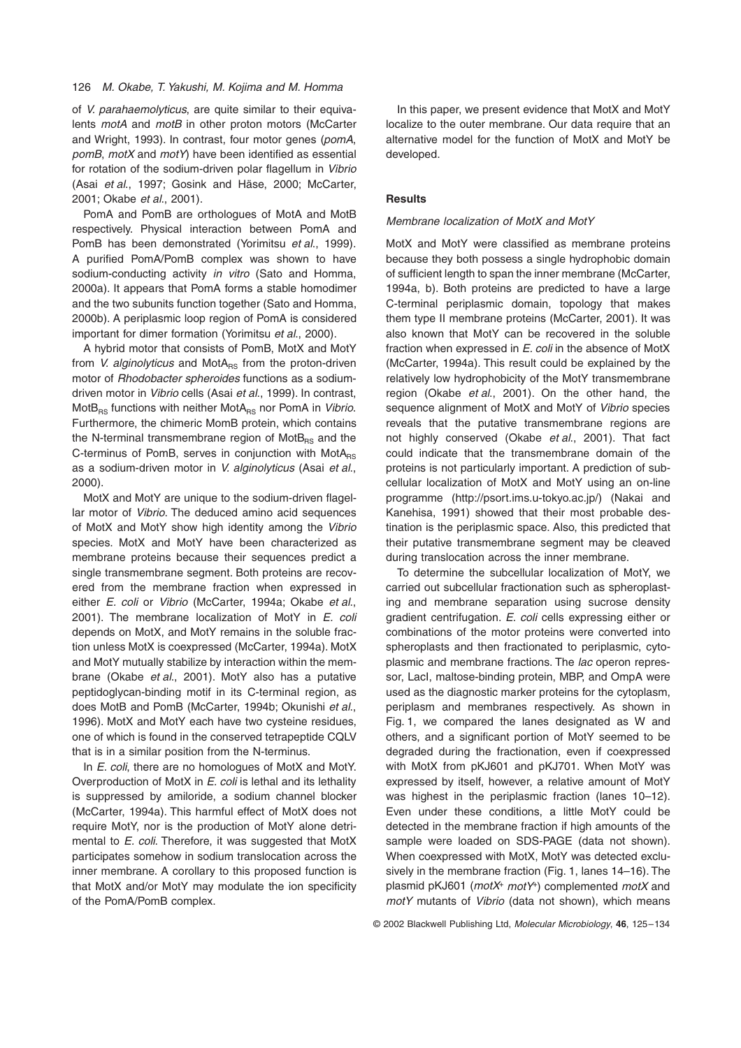of *V. parahaemolyticus*, are quite similar to their equivalents *motA* and *motB* in other proton motors (McCarter and Wright, 1993). In contrast, four motor genes (*pomA*, *pomB*, *motX* and *motY*) have been identified as essential for rotation of the sodium-driven polar flagellum in *Vibrio* (Asai *et al*., 1997; Gosink and Häse, 2000; McCarter, 2001; Okabe *et al*., 2001).

PomA and PomB are orthologues of MotA and MotB respectively. Physical interaction between PomA and PomB has been demonstrated (Yorimitsu *et al*., 1999). A purified PomA/PomB complex was shown to have sodium-conducting activity *in vitro* (Sato and Homma, 2000a). It appears that PomA forms a stable homodimer and the two subunits function together (Sato and Homma, 2000b). A periplasmic loop region of PomA is considered important for dimer formation (Yorimitsu *et al*., 2000).

A hybrid motor that consists of PomB, MotX and MotY from *V. alginolyticus* and MotA<sub>RS</sub> from the proton-driven motor of *Rhodobacter spheroides* functions as a sodiumdriven motor in *Vibrio* cells (Asai *et al*., 1999). In contrast, MotB<sub>BS</sub> functions with neither MotA<sub>BS</sub> nor PomA in *Vibrio*. Furthermore, the chimeric MomB protein, which contains the N-terminal transmembrane region of  $MotB_{RS}$  and the C-terminus of PomB, serves in conjunction with  $MotA_{RS}$ as a sodium-driven motor in *V. alginolyticus* (Asai *et al*., 2000).

MotX and MotY are unique to the sodium-driven flagellar motor of *Vibrio*. The deduced amino acid sequences of MotX and MotY show high identity among the *Vibrio* species. MotX and MotY have been characterized as membrane proteins because their sequences predict a single transmembrane segment. Both proteins are recovered from the membrane fraction when expressed in either *E. coli* or *Vibrio* (McCarter, 1994a; Okabe *et al*., 2001). The membrane localization of MotY in *E. coli* depends on MotX, and MotY remains in the soluble fraction unless MotX is coexpressed (McCarter, 1994a). MotX and MotY mutually stabilize by interaction within the membrane (Okabe *et al*., 2001). MotY also has a putative peptidoglycan-binding motif in its C-terminal region, as does MotB and PomB (McCarter, 1994b; Okunishi *et al*., 1996). MotX and MotY each have two cysteine residues, one of which is found in the conserved tetrapeptide CQLV that is in a similar position from the N-terminus.

In *E. coli*, there are no homologues of MotX and MotY. Overproduction of MotX in *E. coli* is lethal and its lethality is suppressed by amiloride, a sodium channel blocker (McCarter, 1994a). This harmful effect of MotX does not require MotY, nor is the production of MotY alone detrimental to *E. coli*. Therefore, it was suggested that MotX participates somehow in sodium translocation across the inner membrane. A corollary to this proposed function is that MotX and/or MotY may modulate the ion specificity of the PomA/PomB complex.

In this paper, we present evidence that MotX and MotY localize to the outer membrane. Our data require that an alternative model for the function of MotX and MotY be developed.

## **Results**

## *Membrane localization of MotX and MotY*

MotX and MotY were classified as membrane proteins because they both possess a single hydrophobic domain of sufficient length to span the inner membrane (McCarter, 1994a, b). Both proteins are predicted to have a large C-terminal periplasmic domain, topology that makes them type II membrane proteins (McCarter, 2001). It was also known that MotY can be recovered in the soluble fraction when expressed in *E. coli* in the absence of MotX (McCarter, 1994a). This result could be explained by the relatively low hydrophobicity of the MotY transmembrane region (Okabe *et al*., 2001). On the other hand, the sequence alignment of MotX and MotY of *Vibrio* species reveals that the putative transmembrane regions are not highly conserved (Okabe *et al*., 2001). That fact could indicate that the transmembrane domain of the proteins is not particularly important. A prediction of subcellular localization of MotX and MotY using an on-line programme (http://psort.ims.u-tokyo.ac.jp/) (Nakai and Kanehisa, 1991) showed that their most probable destination is the periplasmic space. Also, this predicted that their putative transmembrane segment may be cleaved during translocation across the inner membrane.

To determine the subcellular localization of MotY, we carried out subcellular fractionation such as spheroplasting and membrane separation using sucrose density gradient centrifugation. *E. coli* cells expressing either or combinations of the motor proteins were converted into spheroplasts and then fractionated to periplasmic, cytoplasmic and membrane fractions. The *lac* operon repressor, LacI, maltose-binding protein, MBP, and OmpA were used as the diagnostic marker proteins for the cytoplasm, periplasm and membranes respectively. As shown in Fig. 1, we compared the lanes designated as W and others, and a significant portion of MotY seemed to be degraded during the fractionation, even if coexpressed with MotX from pKJ601 and pKJ701. When MotY was expressed by itself, however, a relative amount of MotY was highest in the periplasmic fraction (lanes 10–12). Even under these conditions, a little MotY could be detected in the membrane fraction if high amounts of the sample were loaded on SDS-PAGE (data not shown). When coexpressed with MotX, MotY was detected exclusively in the membrane fraction (Fig. 1, lanes 14–16). The plasmid pKJ601 (*motX*<sup>+</sup> *motY*+) complemented *motX* and *motY* mutants of *Vibrio* (data not shown), which means

© 2002 Blackwell Publishing Ltd, *Molecular Microbiology*, **46**, 125–134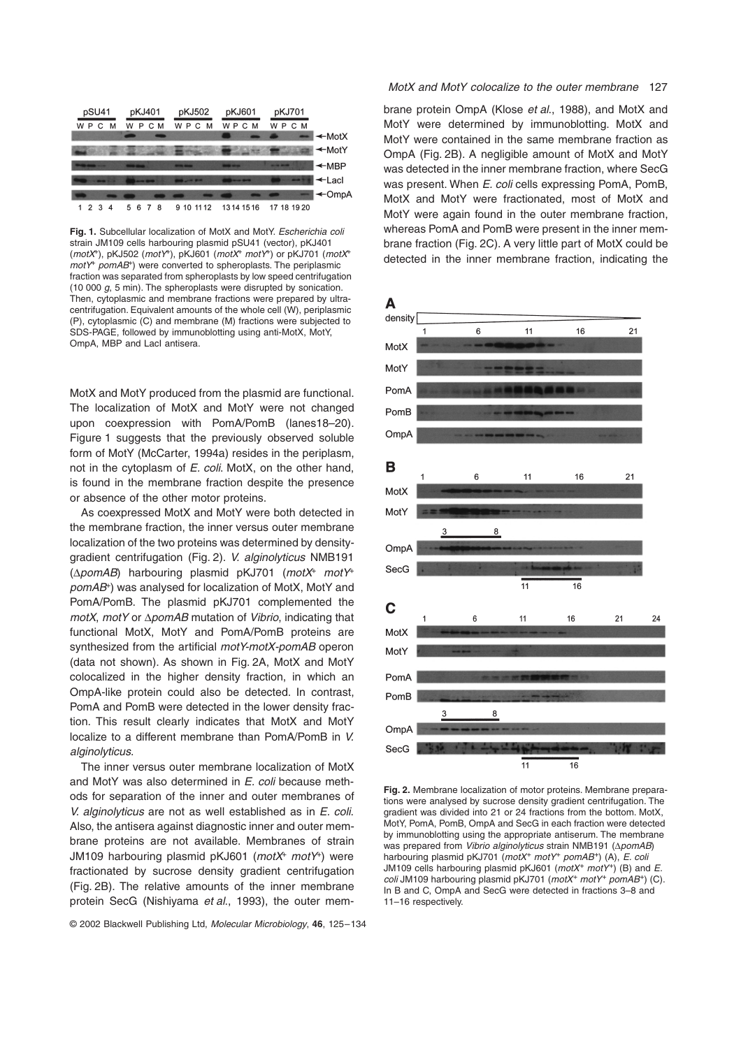

**Fig. 1.** Subcellular localization of MotX and MotY. *Escherichia coli* strain JM109 cells harbouring plasmid pSU41 (vector), pKJ401 (*motX*<sup>+</sup>), pKJ502 (*motY*<sup>+</sup>), pKJ601 (*motX*<sup>+</sup> *motY*<sup>+</sup>) or pKJ701 (*motX*<sup>+</sup> *motY*<sup>+</sup> *pomAB*<sup>+</sup>) were converted to spheroplasts. The periplasmic fraction was separated from spheroplasts by low speed centrifugation (10 000 *g*, 5 min). The spheroplasts were disrupted by sonication. Then, cytoplasmic and membrane fractions were prepared by ultracentrifugation. Equivalent amounts of the whole cell (W), periplasmic (P), cytoplasmic (C) and membrane (M) fractions were subjected to SDS-PAGE, followed by immunoblotting using anti-MotX, MotY, OmpA, MBP and LacI antisera.

MotX and MotY produced from the plasmid are functional. The localization of MotX and MotY were not changed upon coexpression with PomA/PomB (lanes18–20). Figure 1 suggests that the previously observed soluble form of MotY (McCarter, 1994a) resides in the periplasm, not in the cytoplasm of *E. coli*. MotX, on the other hand, is found in the membrane fraction despite the presence or absence of the other motor proteins.

As coexpressed MotX and MotY were both detected in the membrane fraction, the inner versus outer membrane localization of the two proteins was determined by densitygradient centrifugation (Fig. 2). *V. alginolyticus* NMB191 (D*pomAB*) harbouring plasmid pKJ701 (*motX*<sup>+</sup> *motY*<sup>+</sup> *pomAB*+) was analysed for localization of MotX, MotY and PomA/PomB. The plasmid pKJ701 complemented the *motX, motY* or ∆*pomAB* mutation of *Vibrio*, indicating that functional MotX, MotY and PomA/PomB proteins are synthesized from the artificial *motY-motX-pomAB* operon (data not shown). As shown in Fig. 2A, MotX and MotY colocalized in the higher density fraction, in which an OmpA-like protein could also be detected. In contrast, PomA and PomB were detected in the lower density fraction. This result clearly indicates that MotX and MotY localize to a different membrane than PomA/PomB in *V. alginolyticus*.

The inner versus outer membrane localization of MotX and MotY was also determined in *E. coli* because methods for separation of the inner and outer membranes of *V. alginolyticus* are not as well established as in *E. coli*. Also, the antisera against diagnostic inner and outer membrane proteins are not available. Membranes of strain JM109 harbouring plasmid pKJ601 (*motX*<sup>+</sup> *motY*+) were fractionated by sucrose density gradient centrifugation (Fig. 2B). The relative amounts of the inner membrane protein SecG (Nishiyama *et al*., 1993), the outer mem-

## *MotX and MotY colocalize to the outer membrane* 127

brane protein OmpA (Klose *et al*., 1988), and MotX and MotY were determined by immunoblotting. MotX and MotY were contained in the same membrane fraction as OmpA (Fig. 2B). A negligible amount of MotX and MotY was detected in the inner membrane fraction, where SecG was present. When *E. coli* cells expressing PomA, PomB, MotX and MotY were fractionated, most of MotX and MotY were again found in the outer membrane fraction, whereas PomA and PomB were present in the inner membrane fraction (Fig. 2C). A very little part of MotX could be detected in the inner membrane fraction, indicating the



**Fig. 2.** Membrane localization of motor proteins. Membrane preparations were analysed by sucrose density gradient centrifugation. The gradient was divided into 21 or 24 fractions from the bottom. MotX, MotY, PomA, PomB, OmpA and SecG in each fraction were detected by immunoblotting using the appropriate antiserum. The membrane was prepared from *Vibrio alginolyticus* strain NMB191 ( $\Delta$ *pomAB*) harbouring plasmid pKJ701 (*motX*<sup>+</sup> *motY*<sup>+</sup> *pomAB*<sup>+</sup>) (A), *E. coli* JM109 cells harbouring plasmid pKJ601 (*motX*<sup>+</sup> *motY*<sup>+</sup>) (B) and *E. coli* JM109 harbouring plasmid pKJ701 (*motX*<sup>+</sup> *motY*<sup>+</sup> *pomAB*<sup>+</sup>) (C). In B and C, OmpA and SecG were detected in fractions 3–8 and 11–16 respectively.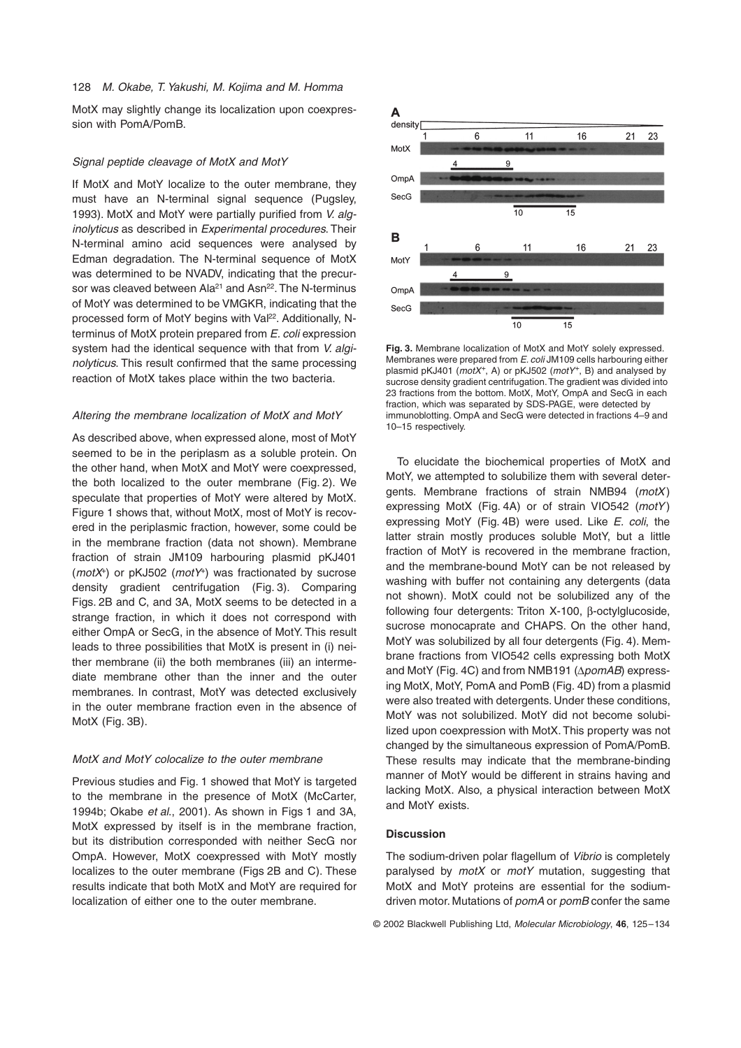MotX may slightly change its localization upon coexpression with PomA/PomB.

## *Signal peptide cleavage of MotX and MotY*

If MotX and MotY localize to the outer membrane, they must have an N-terminal signal sequence (Pugsley, 1993). MotX and MotY were partially purified from *V. alginolyticus* as described in *Experimental procedures*. Their N-terminal amino acid sequences were analysed by Edman degradation. The N-terminal sequence of MotX was determined to be NVADV, indicating that the precursor was cleaved between Ala<sup>21</sup> and Asn<sup>22</sup>. The N-terminus of MotY was determined to be VMGKR, indicating that the processed form of MotY begins with Val<sup>22</sup>. Additionally, Nterminus of MotX protein prepared from *E. coli* expression system had the identical sequence with that from *V. alginolyticus*. This result confirmed that the same processing reaction of MotX takes place within the two bacteria.

## *Altering the membrane localization of MotX and MotY*

As described above, when expressed alone, most of MotY seemed to be in the periplasm as a soluble protein. On the other hand, when MotX and MotY were coexpressed, the both localized to the outer membrane (Fig. 2). We speculate that properties of MotY were altered by MotX. Figure 1 shows that, without MotX, most of MotY is recovered in the periplasmic fraction, however, some could be in the membrane fraction (data not shown). Membrane fraction of strain JM109 harbouring plasmid pKJ401 (*motX*+) or pKJ502 (*motY*+) was fractionated by sucrose density gradient centrifugation (Fig. 3). Comparing Figs. 2B and C, and 3A, MotX seems to be detected in a strange fraction, in which it does not correspond with either OmpA or SecG, in the absence of MotY. This result leads to three possibilities that MotX is present in (i) neither membrane (ii) the both membranes (iii) an intermediate membrane other than the inner and the outer membranes. In contrast, MotY was detected exclusively in the outer membrane fraction even in the absence of MotX (Fig. 3B).

## *MotX and MotY colocalize to the outer membrane*

Previous studies and Fig. 1 showed that MotY is targeted to the membrane in the presence of MotX (McCarter, 1994b; Okabe *et al*., 2001). As shown in Figs 1 and 3A, MotX expressed by itself is in the membrane fraction, but its distribution corresponded with neither SecG nor OmpA. However, MotX coexpressed with MotY mostly localizes to the outer membrane (Figs 2B and C). These results indicate that both MotX and MotY are required for localization of either one to the outer membrane.



**Fig. 3.** Membrane localization of MotX and MotY solely expressed. Membranes were prepared from *E. coli* JM109 cells harbouring either plasmid pKJ401 (*motX*<sup>+</sup>, A) or pKJ502 (*motY*<sup>+</sup>, B) and analysed by sucrose density gradient centrifugation. The gradient was divided into 23 fractions from the bottom. MotX, MotY, OmpA and SecG in each fraction, which was separated by SDS-PAGE, were detected by immunoblotting. OmpA and SecG were detected in fractions 4–9 and 10–15 respectively.

To elucidate the biochemical properties of MotX and MotY, we attempted to solubilize them with several detergents. Membrane fractions of strain NMB94 (*motX*) expressing MotX (Fig. 4A) or of strain VIO542 (*motY*) expressing MotY (Fig. 4B) were used. Like *E. coli*, the latter strain mostly produces soluble MotY, but a little fraction of MotY is recovered in the membrane fraction, and the membrane-bound MotY can be not released by washing with buffer not containing any detergents (data not shown). MotX could not be solubilized any of the following four detergents: Triton X-100, β-octylglucoside, sucrose monocaprate and CHAPS. On the other hand, MotY was solubilized by all four detergents (Fig. 4). Membrane fractions from VIO542 cells expressing both MotX and MotY (Fig. 4C) and from NMB191 ( $\triangle p$ *omAB*) expressing MotX, MotY, PomA and PomB (Fig. 4D) from a plasmid were also treated with detergents. Under these conditions, MotY was not solubilized. MotY did not become solubilized upon coexpression with MotX. This property was not changed by the simultaneous expression of PomA/PomB. These results may indicate that the membrane-binding manner of MotY would be different in strains having and lacking MotX. Also, a physical interaction between MotX and MotY exists.

#### **Discussion**

The sodium-driven polar flagellum of *Vibrio* is completely paralysed by *motX* or *motY* mutation, suggesting that MotX and MotY proteins are essential for the sodiumdriven motor. Mutations of *pomA* or *pomB* confer the same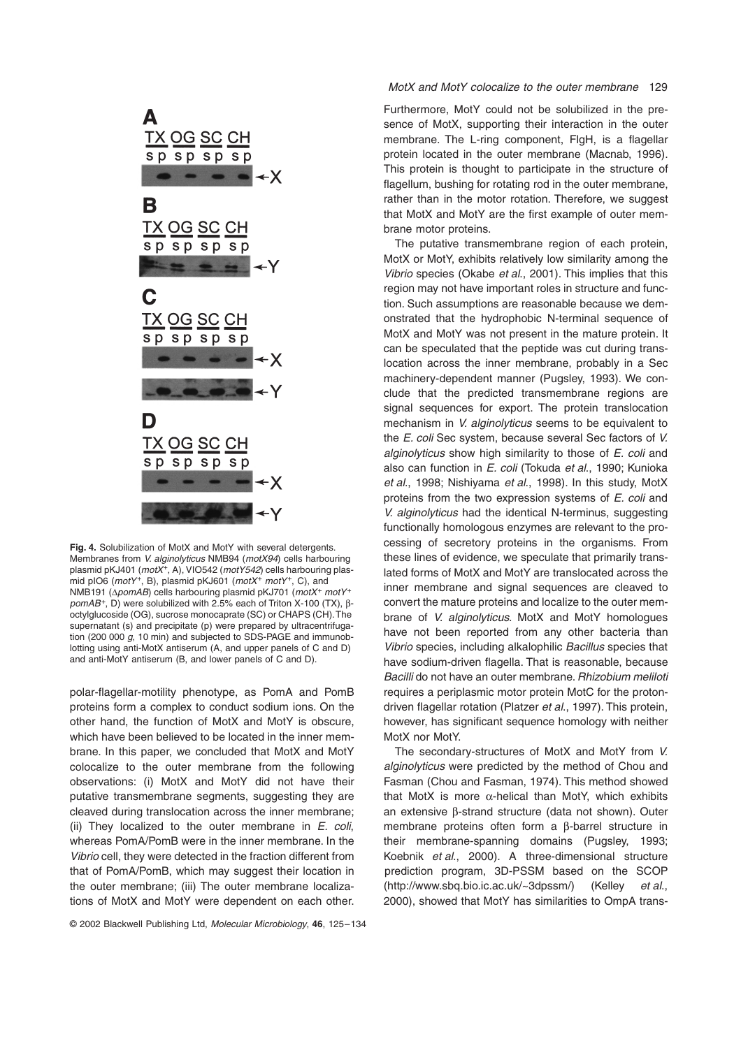

**Fig. 4.** Solubilization of MotX and MotY with several detergents. Membranes from *V. alginolyticus* NMB94 (*motX94*) cells harbouring plasmid pKJ401 (*motX*+, A), VIO542 (*motY542*) cells harbouring plasmid pIO6 (*motY*<sup>+</sup>, B), plasmid pKJ601 (*motX*<sup>+</sup> *motY*<sup>+</sup>, C), and NMB191 ( $\Delta$ *pomAB*) cells harbouring plasmid pKJ701 ( $motX^{+}$   $motY^{+}$  $pomAB^+$ , D) were solubilized with 2.5% each of Triton X-100 (TX),  $\beta$ octylglucoside (OG), sucrose monocaprate (SC) or CHAPS (CH). The supernatant (s) and precipitate (p) were prepared by ultracentrifugation (200 000 *g*, 10 min) and subjected to SDS-PAGE and immunoblotting using anti-MotX antiserum (A, and upper panels of C and D) and anti-MotY antiserum (B, and lower panels of C and D).

polar-flagellar-motility phenotype, as PomA and PomB proteins form a complex to conduct sodium ions. On the other hand, the function of MotX and MotY is obscure, which have been believed to be located in the inner membrane. In this paper, we concluded that MotX and MotY colocalize to the outer membrane from the following observations: (i) MotX and MotY did not have their putative transmembrane segments, suggesting they are cleaved during translocation across the inner membrane; (ii) They localized to the outer membrane in *E. coli*, whereas PomA/PomB were in the inner membrane. In the *Vibrio* cell, they were detected in the fraction different from that of PomA/PomB, which may suggest their location in the outer membrane; (iii) The outer membrane localizations of MotX and MotY were dependent on each other.

© 2002 Blackwell Publishing Ltd, *Molecular Microbiology*, **46**, 125–134

## *MotX and MotY colocalize to the outer membrane* 129

Furthermore, MotY could not be solubilized in the presence of MotX, supporting their interaction in the outer membrane. The L-ring component, FlgH, is a flagellar protein located in the outer membrane (Macnab, 1996). This protein is thought to participate in the structure of flagellum, bushing for rotating rod in the outer membrane, rather than in the motor rotation. Therefore, we suggest that MotX and MotY are the first example of outer membrane motor proteins.

The putative transmembrane region of each protein, MotX or MotY, exhibits relatively low similarity among the *Vibrio* species (Okabe *et al*., 2001). This implies that this region may not have important roles in structure and function. Such assumptions are reasonable because we demonstrated that the hydrophobic N-terminal sequence of MotX and MotY was not present in the mature protein. It can be speculated that the peptide was cut during translocation across the inner membrane, probably in a Sec machinery-dependent manner (Pugsley, 1993). We conclude that the predicted transmembrane regions are signal sequences for export. The protein translocation mechanism in *V. alginolyticus* seems to be equivalent to the *E. coli* Sec system, because several Sec factors of *V. alginolyticus* show high similarity to those of *E. coli* and also can function in *E. coli* (Tokuda *et al*., 1990; Kunioka *et al*., 1998; Nishiyama *et al*., 1998). In this study, MotX proteins from the two expression systems of *E. coli* and *V. alginolyticus* had the identical N-terminus, suggesting functionally homologous enzymes are relevant to the processing of secretory proteins in the organisms. From these lines of evidence, we speculate that primarily translated forms of MotX and MotY are translocated across the inner membrane and signal sequences are cleaved to convert the mature proteins and localize to the outer membrane of *V. alginolyticus*. MotX and MotY homologues have not been reported from any other bacteria than *Vibrio* species, including alkalophilic *Bacillus* species that have sodium-driven flagella. That is reasonable, because *Bacilli* do not have an outer membrane. *Rhizobium meliloti* requires a periplasmic motor protein MotC for the protondriven flagellar rotation (Platzer *et al*., 1997). This protein, however, has significant sequence homology with neither MotX nor MotY.

The secondary-structures of MotX and MotY from *V. alginolyticus* were predicted by the method of Chou and Fasman (Chou and Fasman, 1974). This method showed that MotX is more  $\alpha$ -helical than MotY, which exhibits an extensive  $\beta$ -strand structure (data not shown). Outer membrane proteins often form a B-barrel structure in their membrane-spanning domains (Pugsley, 1993; Koebnik *et al*., 2000). A three-dimensional structure prediction program, 3D-PSSM based on the SCOP (http://www.sbq.bio.ic.ac.uk/~3dpssm/) (Kelley *et al*., 2000), showed that MotY has similarities to OmpA trans-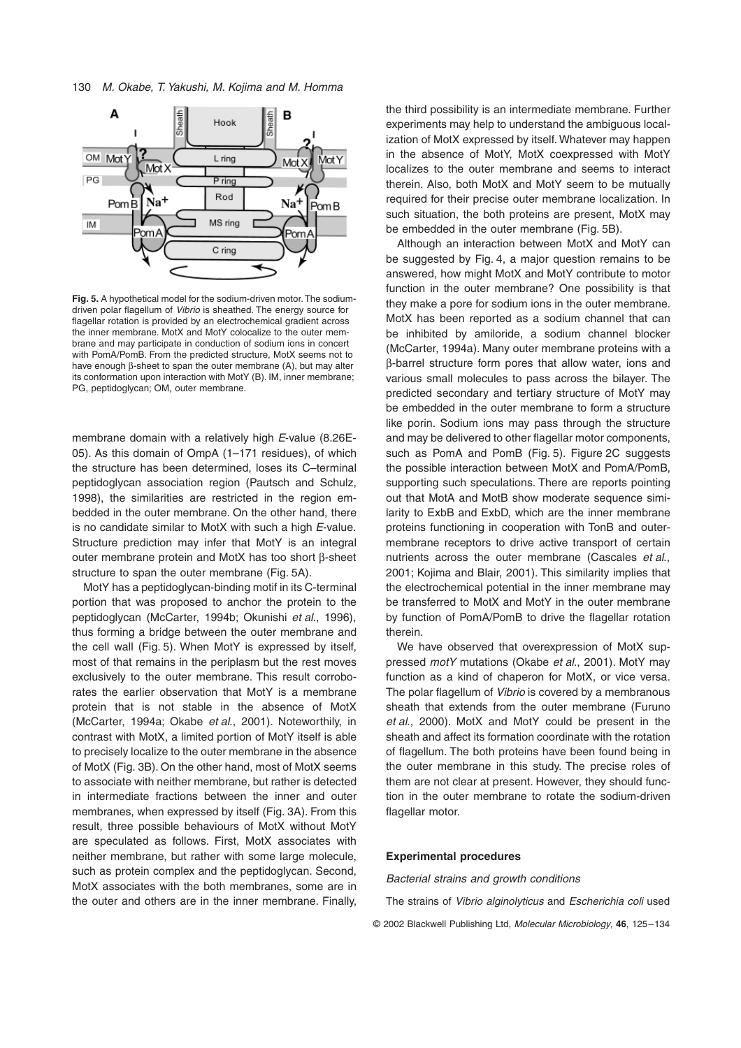

**Fig. 5.** A hypothetical model for the sodium-driven motor. The sodiumdriven polar flagellum of *Vibrio* is sheathed. The energy source for flagellar rotation is provided by an electrochemical gradient across the inner membrane. MotX and MotY colocalize to the outer membrane and may participate in conduction of sodium ions in concert with PomA/PomB. From the predicted structure, MotX seems not to have enough  $\beta$ -sheet to span the outer membrane (A), but may alter its conformation upon interaction with MotY (B). IM, inner membrane; PG, peptidoglycan; OM, outer membrane.

membrane domain with a relatively high *E*-value (8.26E-05). As this domain of OmpA (1–171 residues), of which the structure has been determined, loses its C–terminal peptidoglycan association region (Pautsch and Schulz, 1998), the similarities are restricted in the region embedded in the outer membrane. On the other hand, there is no candidate similar to MotX with such a high *E*-value. Structure prediction may infer that MotY is an integral outer membrane protein and MotX has too short  $\beta$ -sheet structure to span the outer membrane (Fig. 5A).

MotY has a peptidoglycan-binding motif in its C-terminal portion that was proposed to anchor the protein to the peptidoglycan (McCarter, 1994b; Okunishi *et al*., 1996), thus forming a bridge between the outer membrane and the cell wall (Fig. 5). When MotY is expressed by itself, most of that remains in the periplasm but the rest moves exclusively to the outer membrane. This result corroborates the earlier observation that MotY is a membrane protein that is not stable in the absence of MotX (McCarter, 1994a; Okabe *et al*., 2001). Noteworthily, in contrast with MotX, a limited portion of MotY itself is able to precisely localize to the outer membrane in the absence of MotX (Fig. 3B). On the other hand, most of MotX seems to associate with neither membrane, but rather is detected in intermediate fractions between the inner and outer membranes, when expressed by itself (Fig. 3A). From this result, three possible behaviours of MotX without MotY are speculated as follows. First, MotX associates with neither membrane, but rather with some large molecule, such as protein complex and the peptidoglycan. Second, MotX associates with the both membranes, some are in the outer and others are in the inner membrane. Finally,

the third possibility is an intermediate membrane. Further experiments may help to understand the ambiguous localization of MotX expressed by itself. Whatever may happen in the absence of MotY, MotX coexpressed with MotY localizes to the outer membrane and seems to interact therein. Also, both MotX and MotY seem to be mutually required for their precise outer membrane localization. In such situation, the both proteins are present, MotX may be embedded in the outer membrane (Fig. 5B).

Although an interaction between MotX and MotY can be suggested by Fig. 4, a major question remains to be answered, how might MotX and MotY contribute to motor function in the outer membrane? One possibility is that they make a pore for sodium ions in the outer membrane. MotX has been reported as a sodium channel that can be inhibited by amiloride, a sodium channel blocker (McCarter, 1994a). Many outer membrane proteins with a b-barrel structure form pores that allow water, ions and various small molecules to pass across the bilayer. The predicted secondary and tertiary structure of MotY may be embedded in the outer membrane to form a structure like porin. Sodium ions may pass through the structure and may be delivered to other flagellar motor components, such as PomA and PomB (Fig. 5). Figure 2C suggests the possible interaction between MotX and PomA/PomB, supporting such speculations. There are reports pointing out that MotA and MotB show moderate sequence similarity to ExbB and ExbD, which are the inner membrane proteins functioning in cooperation with TonB and outermembrane receptors to drive active transport of certain nutrients across the outer membrane (Cascales *et al*., 2001; Kojima and Blair, 2001). This similarity implies that the electrochemical potential in the inner membrane may be transferred to MotX and MotY in the outer membrane by function of PomA/PomB to drive the flagellar rotation therein.

We have observed that overexpression of MotX suppressed *motY* mutations (Okabe *et al*., 2001). MotY may function as a kind of chaperon for MotX, or vice versa. The polar flagellum of *Vibrio* is covered by a membranous sheath that extends from the outer membrane (Furuno *et al*., 2000). MotX and MotY could be present in the sheath and affect its formation coordinate with the rotation of flagellum. The both proteins have been found being in the outer membrane in this study. The precise roles of them are not clear at present. However, they should function in the outer membrane to rotate the sodium-driven flagellar motor.

## **Experimental procedures**

*Bacterial strains and growth conditions*

The strains of *Vibrio alginolyticus* and *Escherichia coli* used

© 2002 Blackwell Publishing Ltd, *Molecular Microbiology*, **46**, 125–134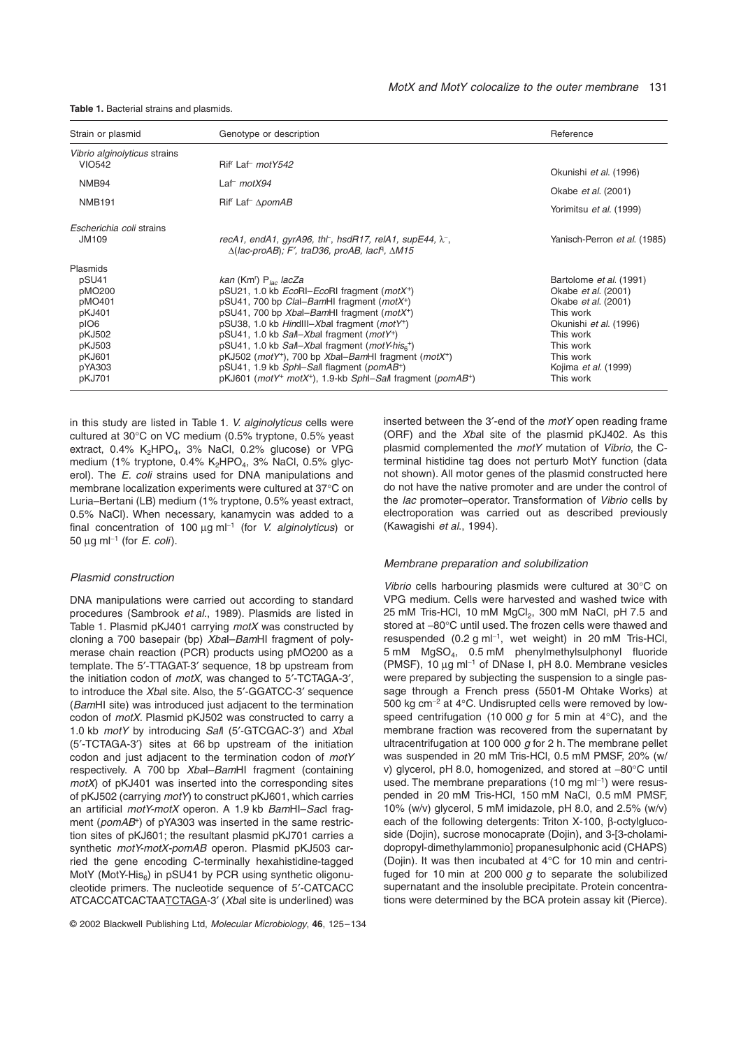|  | <b>Table 1.</b> Bacterial strains and plasmids. |  |  |  |
|--|-------------------------------------------------|--|--|--|
|--|-------------------------------------------------|--|--|--|

| Strain or plasmid            | Genotype or description                                                                                                         | Reference                     |
|------------------------------|---------------------------------------------------------------------------------------------------------------------------------|-------------------------------|
| Vibrio alginolyticus strains |                                                                                                                                 |                               |
| <b>VIO542</b>                | Rif <sup>r</sup> Laf <sup>-</sup> motY542                                                                                       | Okunishi <i>et al.</i> (1996) |
| NMB94                        | Laf <sup>-</sup> mot $X94$                                                                                                      |                               |
| <b>NMB191</b>                |                                                                                                                                 | Okabe <i>et al.</i> (2001)    |
|                              | $Rif'$ Laf <sup>-</sup> $\Delta$ <i>pomAB</i>                                                                                   | Yorimitsu et al. (1999)       |
| Escherichia coli strains     |                                                                                                                                 |                               |
| <b>JM109</b>                 | recA1, endA1, gyrA96, thi hsdR17, relA1, supE44, $\lambda^{-}$ ,<br>$\Delta$ (lac-proAB); F', traD36, proAB, lacP, $\Delta M15$ | Yanisch-Perron et al. (1985)  |
| Plasmids                     |                                                                                                                                 |                               |
| pSU41                        | kan (Km <sup>r</sup> ) P <sub>lac</sub> lacZa                                                                                   | Bartolome et al. (1991)       |
| pMO200                       | pSU21, 1.0 kb EcoRI-EcoRI fragment (motX <sup>+</sup> )                                                                         | Okabe et al. (2001)           |
| pMO401                       | pSU41, 700 bp Clal-BamHI fragment (motX <sup>+</sup> )                                                                          | Okabe et al. (2001)           |
| pKJ401                       | pSU41, 700 bp Xbal-BamHI fragment (motX <sup>+</sup> )                                                                          | This work                     |
| pIO6                         | pSU38, 1.0 kb HindIII-Xbal fragment (motY <sup>+</sup> )                                                                        | Okunishi et al. (1996)        |
| pKJ502                       | pSU41, 1.0 kb Sall-Xbal fragment (motY <sup>+</sup> )                                                                           | This work                     |
| pKJ503                       | pSU41, 1.0 kb Sall-Xbal fragment (motY-hise <sup>+</sup> )                                                                      | This work                     |
| pKJ601                       | pKJ502 ( $motY^+$ ), 700 bp Xbal-BamHI fragment ( $motX^+$ )                                                                    | This work                     |
| pYA303                       | pSU41, 1.9 kb Sphl-Sall flagment (pomAB <sup>+</sup> )                                                                          | Kojima et al. (1999)          |
| pKJ701                       | $pKJ601$ (motY <sup>+</sup> motX <sup>+</sup> ), 1.9-kb Sphl–Sall fragment (pomAB <sup>+</sup> )                                | This work                     |

in this study are listed in Table 1. *V. alginolyticus* cells were cultured at 30∞C on VC medium (0.5% tryptone, 0.5% yeast extract,  $0.4\%$  K<sub>2</sub>HPO<sub>4</sub>, 3% NaCl, 0.2% glucose) or VPG medium (1% tryptone, 0.4%  $K_2$ HPO<sub>4</sub>, 3% NaCl, 0.5% glycerol). The *E. coli* strains used for DNA manipulations and membrane localization experiments were cultured at 37∞C on Luria–Bertani (LB) medium (1% tryptone, 0.5% yeast extract, 0.5% NaCl). When necessary, kanamycin was added to a final concentration of 100 ug ml<sup>-1</sup> (for *V. alginolyticus*) or 50  $\mu$ g m $\vert^{-1}$  (for *E. coli*).

#### *Plasmid construction*

DNA manipulations were carried out according to standard procedures (Sambrook *et al*., 1989). Plasmids are listed in Table 1. Plasmid pKJ401 carrying *motX* was constructed by cloning a 700 basepair (bp) *Xba*I–*Bam*HI fragment of polymerase chain reaction (PCR) products using pMO200 as a template. The 5'-TTAGAT-3' sequence, 18 bp upstream from the initiation codon of *motX*, was changed to 5<sup>'</sup>-TCTAGA-3'. to introduce the *Xba*I site. Also, the 5'-GGATCC-3' sequence (*Bam*HI site) was introduced just adjacent to the termination codon of *motX*. Plasmid pKJ502 was constructed to carry a 1.0 kb *motY* by introducing *Sall* (5'-GTCGAC-3') and *Xbal* (5¢-TCTAGA-3¢) sites at 66 bp upstream of the initiation codon and just adjacent to the termination codon of *motY* respectively. A 700 bp *Xba*I–*Bam*HI fragment (containing *motX*) of pKJ401 was inserted into the corresponding sites of pKJ502 (carrying *motY*) to construct pKJ601, which carries an artificial *motY-motX* operon. A 1.9 kb *Bam*HI–*Sac*I fragment (pomAB<sup>+</sup>) of pYA303 was inserted in the same restriction sites of pKJ601; the resultant plasmid pKJ701 carries a synthetic *motY-motX-pomAB* operon. Plasmid pKJ503 carried the gene encoding C-terminally hexahistidine-tagged MotY (MotY-His $_6$ ) in pSU41 by PCR using synthetic oligonucleotide primers. The nucleotide sequence of 5¢-CATCACC ATCACCATCACTAATCTAGA-3¢ (*Xba*I site is underlined) was

© 2002 Blackwell Publishing Ltd, *Molecular Microbiology*, **46**, 125–134

inserted between the 3¢-end of the *motY* open reading frame (ORF) and the *Xba*I site of the plasmid pKJ402. As this plasmid complemented the *motY* mutation of *Vibrio*, the Cterminal histidine tag does not perturb MotY function (data not shown). All motor genes of the plasmid constructed here do not have the native promoter and are under the control of the *lac* promoter–operator. Transformation of *Vibrio* cells by electroporation was carried out as described previously (Kawagishi *et al*., 1994).

#### *Membrane preparation and solubilization*

*Vibrio* cells harbouring plasmids were cultured at 30∞C on VPG medium. Cells were harvested and washed twice with 25 mM Tris-HCl, 10 mM MgCl<sub>2</sub>, 300 mM NaCl, pH 7.5 and stored at -80°C until used. The frozen cells were thawed and resuspended  $(0.2 \text{ g m}^{-1})$ , wet weight) in 20 mM Tris-HCl, 5 mM MgSO4, 0.5 mM phenylmethylsulphonyl fluoride (PMSF), 10  $\mu$ g m $I^{-1}$  of DNase I, pH 8.0. Membrane vesicles were prepared by subjecting the suspension to a single passage through a French press (5501-M Ohtake Works) at 500 kg cm-2 at 4∞C. Undisrupted cells were removed by lowspeed centrifugation (10 000 *g* for 5 min at 4∞C), and the membrane fraction was recovered from the supernatant by ultracentrifugation at 100 000 *g* for 2 h. The membrane pellet was suspended in 20 mM Tris-HCl, 0.5 mM PMSF, 20% (w/ v) glycerol, pH 8.0, homogenized, and stored at -80∞C until used. The membrane preparations  $(10 \text{ mg ml}^{-1})$  were resuspended in 20 mM Tris-HCl, 150 mM NaCl, 0.5 mM PMSF, 10% (w/v) glycerol, 5 mM imidazole, pH 8.0, and 2.5% (w/v) each of the following detergents: Triton X-100, β-octylglucoside (Dojin), sucrose monocaprate (Dojin), and 3-[3-cholamidopropyl-dimethylammonio] propanesulphonic acid (CHAPS) (Dojin). It was then incubated at 4∞C for 10 min and centrifuged for 10 min at 200 000 *g* to separate the solubilized supernatant and the insoluble precipitate. Protein concentrations were determined by the BCA protein assay kit (Pierce).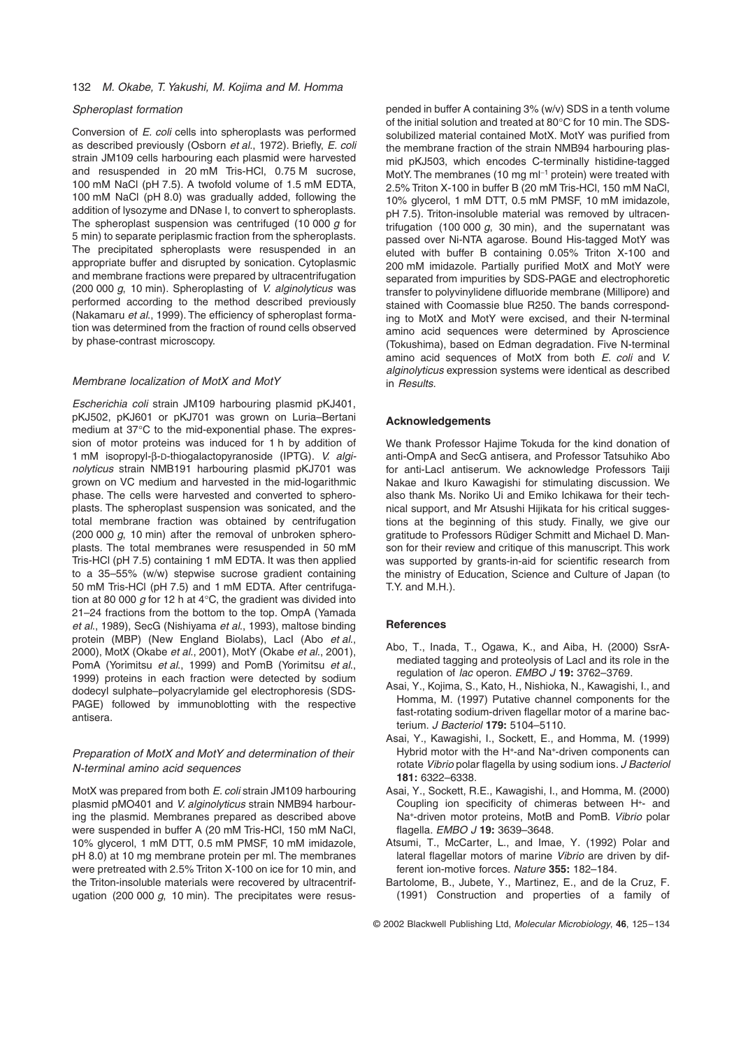#### *Spheroplast formation*

Conversion of *E. coli* cells into spheroplasts was performed as described previously (Osborn *et al*., 1972). Briefly, *E. coli* strain JM109 cells harbouring each plasmid were harvested and resuspended in 20 mM Tris-HCl, 0.75 M sucrose, 100 mM NaCl (pH 7.5). A twofold volume of 1.5 mM EDTA, 100 mM NaCl (pH 8.0) was gradually added, following the addition of lysozyme and DNase I, to convert to spheroplasts. The spheroplast suspension was centrifuged (10 000 *g* for 5 min) to separate periplasmic fraction from the spheroplasts. The precipitated spheroplasts were resuspended in an appropriate buffer and disrupted by sonication. Cytoplasmic and membrane fractions were prepared by ultracentrifugation (200 000 *g*, 10 min). Spheroplasting of *V. alginolyticus* was performed according to the method described previously (Nakamaru *et al*., 1999). The efficiency of spheroplast formation was determined from the fraction of round cells observed by phase-contrast microscopy.

#### *Membrane localization of MotX and MotY*

*Escherichia coli* strain JM109 harbouring plasmid pKJ401, pKJ502, pKJ601 or pKJ701 was grown on Luria–Bertani medium at 37∞C to the mid-exponential phase. The expression of motor proteins was induced for 1 h by addition of 1 mM isopropyl-β-D-thiogalactopyranoside (IPTG). *V. alginolyticus* strain NMB191 harbouring plasmid pKJ701 was grown on VC medium and harvested in the mid-logarithmic phase. The cells were harvested and converted to spheroplasts. The spheroplast suspension was sonicated, and the total membrane fraction was obtained by centrifugation (200 000 *g*, 10 min) after the removal of unbroken spheroplasts. The total membranes were resuspended in 50 mM Tris-HCl (pH 7.5) containing 1 mM EDTA. It was then applied to a 35–55% (w/w) stepwise sucrose gradient containing 50 mM Tris-HCl (pH 7.5) and 1 mM EDTA. After centrifugation at 80 000 *g* for 12 h at 4∞C, the gradient was divided into 21–24 fractions from the bottom to the top. OmpA (Yamada *et al*., 1989), SecG (Nishiyama *et al*., 1993), maltose binding protein (MBP) (New England Biolabs), LacI (Abo *et al*., 2000), MotX (Okabe *et al*., 2001), MotY (Okabe *et al*., 2001), PomA (Yorimitsu *et al*., 1999) and PomB (Yorimitsu *et al*., 1999) proteins in each fraction were detected by sodium dodecyl sulphate–polyacrylamide gel electrophoresis (SDS-PAGE) followed by immunoblotting with the respective antisera.

## *Preparation of MotX and MotY and determination of their N-terminal amino acid sequences*

MotX was prepared from both *E. coli* strain JM109 harbouring plasmid pMO401 and *V. alginolyticus* strain NMB94 harbouring the plasmid. Membranes prepared as described above were suspended in buffer A (20 mM Tris-HCl, 150 mM NaCl, 10% glycerol, 1 mM DTT, 0.5 mM PMSF, 10 mM imidazole, pH 8.0) at 10 mg membrane protein per ml. The membranes were pretreated with 2.5% Triton X-100 on ice for 10 min, and the Triton-insoluble materials were recovered by ultracentrifugation (200 000 *g*, 10 min). The precipitates were resuspended in buffer A containing 3% (w/v) SDS in a tenth volume of the initial solution and treated at 80∞C for 10 min. The SDSsolubilized material contained MotX. MotY was purified from the membrane fraction of the strain NMB94 harbouring plasmid pKJ503, which encodes C-terminally histidine-tagged MotY. The membranes (10 mg m $l^{-1}$  protein) were treated with 2.5% Triton X-100 in buffer B (20 mM Tris-HCl, 150 mM NaCl, 10% glycerol, 1 mM DTT, 0.5 mM PMSF, 10 mM imidazole, pH 7.5). Triton-insoluble material was removed by ultracentrifugation (100 000 *g*, 30 min), and the supernatant was passed over Ni-NTA agarose. Bound His-tagged MotY was eluted with buffer B containing 0.05% Triton X-100 and 200 mM imidazole. Partially purified MotX and MotY were separated from impurities by SDS-PAGE and electrophoretic transfer to polyvinylidene difluoride membrane (Millipore) and stained with Coomassie blue R250. The bands corresponding to MotX and MotY were excised, and their N-terminal amino acid sequences were determined by Aproscience (Tokushima), based on Edman degradation. Five N-terminal amino acid sequences of MotX from both *E. coli* and *V. alginolyticus* expression systems were identical as described in *Results*.

## **Acknowledgements**

We thank Professor Hajime Tokuda for the kind donation of anti-OmpA and SecG antisera, and Professor Tatsuhiko Abo for anti-LacI antiserum. We acknowledge Professors Taiji Nakae and Ikuro Kawagishi for stimulating discussion. We also thank Ms. Noriko Ui and Emiko Ichikawa for their technical support, and Mr Atsushi Hijikata for his critical suggestions at the beginning of this study. Finally, we give our gratitude to Professors Rüdiger Schmitt and Michael D. Manson for their review and critique of this manuscript. This work was supported by grants-in-aid for scientific research from the ministry of Education, Science and Culture of Japan (to T.Y. and M.H.).

#### **References**

- Abo, T., Inada, T., Ogawa, K., and Aiba, H. (2000) SsrAmediated tagging and proteolysis of LacI and its role in the regulation of *lac* operon. *EMBO J* **19:** 3762–3769.
- Asai, Y., Kojima, S., Kato, H., Nishioka, N., Kawagishi, I., and Homma, M. (1997) Putative channel components for the fast-rotating sodium-driven flagellar motor of a marine bacterium. *J Bacteriol* **179:** 5104–5110.
- Asai, Y., Kawagishi, I., Sockett, E., and Homma, M. (1999) Hybrid motor with the H+-and Na+-driven components can rotate *Vibrio* polar flagella by using sodium ions. *J Bacteriol* **181:** 6322–6338.
- Asai, Y., Sockett, R.E., Kawagishi, I., and Homma, M. (2000) Coupling ion specificity of chimeras between H+- and Na+-driven motor proteins, MotB and PomB. *Vibrio* polar flagella. *EMBO J* **19:** 3639–3648.
- Atsumi, T., McCarter, L., and Imae, Y. (1992) Polar and lateral flagellar motors of marine *Vibrio* are driven by different ion-motive forces. *Nature* **355:** 182–184.
- Bartolome, B., Jubete, Y., Martinez, E., and de la Cruz, F. (1991) Construction and properties of a family of

© 2002 Blackwell Publishing Ltd, *Molecular Microbiology*, **46**, 125–134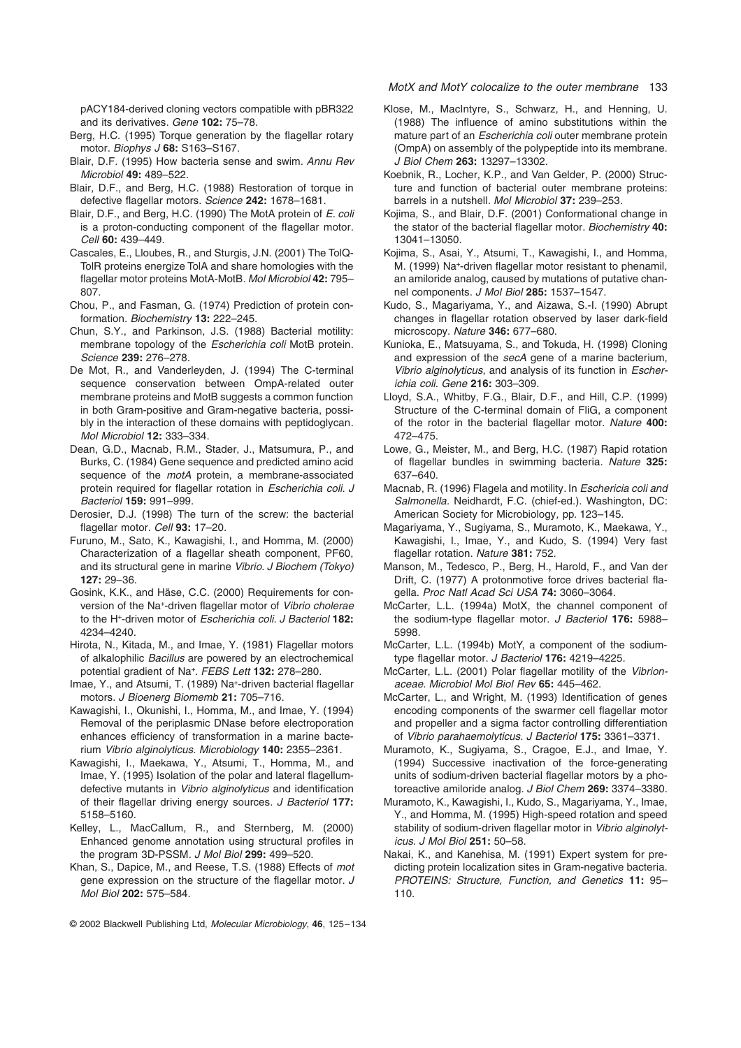pACY184-derived cloning vectors compatible with pBR322 and its derivatives. *Gene* **102:** 75–78.

- Berg, H.C. (1995) Torque generation by the flagellar rotary motor. *Biophys J* **68:** S163–S167.
- Blair, D.F. (1995) How bacteria sense and swim. *Annu Rev Microbiol* **49:** 489–522.
- Blair, D.F., and Berg, H.C. (1988) Restoration of torque in defective flagellar motors. *Science* **242:** 1678–1681.
- Blair, D.F., and Berg, H.C. (1990) The MotA protein of *E. coli* is a proton-conducting component of the flagellar motor. *Cell* **60:** 439–449.
- Cascales, E., Lloubes, R., and Sturgis, J.N. (2001) The TolQ-TolR proteins energize TolA and share homologies with the flagellar motor proteins MotA-MotB. *Mol Microbiol* **42:** 795– 807.
- Chou, P., and Fasman, G. (1974) Prediction of protein conformation. *Biochemistry* **13:** 222–245.
- Chun, S.Y., and Parkinson, J.S. (1988) Bacterial motility: membrane topology of the *Escherichia coli* MotB protein. *Science* **239:** 276–278.
- De Mot, R., and Vanderleyden, J. (1994) The C-terminal sequence conservation between OmpA-related outer membrane proteins and MotB suggests a common function in both Gram-positive and Gram-negative bacteria, possibly in the interaction of these domains with peptidoglycan. *Mol Microbiol* **12:** 333–334.
- Dean, G.D., Macnab, R.M., Stader, J., Matsumura, P., and Burks, C. (1984) Gene sequence and predicted amino acid sequence of the *motA* protein, a membrane-associated protein required for flagellar rotation in *Escherichia coli*. *J Bacteriol* **159:** 991–999.
- Derosier, D.J. (1998) The turn of the screw: the bacterial flagellar motor. *Cell* **93:** 17–20.
- Furuno, M., Sato, K., Kawagishi, I., and Homma, M. (2000) Characterization of a flagellar sheath component, PF60, and its structural gene in marine *Vibrio*. *J Biochem (Tokyo)* **127:** 29–36.
- Gosink, K.K., and Häse, C.C. (2000) Requirements for conversion of the Na+-driven flagellar motor of *Vibrio cholerae* to the H+-driven motor of *Escherichia coli*. *J Bacteriol* **182:** 4234–4240.
- Hirota, N., Kitada, M., and Imae, Y. (1981) Flagellar motors of alkalophilic *Bacillus* are powered by an electrochemical potential gradient of Na+. *FEBS Lett* **132:** 278–280.
- Imae, Y., and Atsumi, T. (1989) Na+-driven bacterial flagellar motors. *J Bioenerg Biomemb* **21:** 705–716.
- Kawagishi, I., Okunishi, I., Homma, M., and Imae, Y. (1994) Removal of the periplasmic DNase before electroporation enhances efficiency of transformation in a marine bacterium *Vibrio alginolyticus*. *Microbiology* **140:** 2355–2361.
- Kawagishi, I., Maekawa, Y., Atsumi, T., Homma, M., and Imae, Y. (1995) Isolation of the polar and lateral flagellumdefective mutants in *Vibrio alginolyticus* and identification of their flagellar driving energy sources. *J Bacteriol* **177:** 5158–5160.
- Kelley, L., MacCallum, R., and Sternberg, M. (2000) Enhanced genome annotation using structural profiles in the program 3D-PSSM. *J Mol Biol* **299:** 499–520.
- Khan, S., Dapice, M., and Reese, T.S. (1988) Effects of *mot* gene expression on the structure of the flagellar motor. *J Mol Biol* **202:** 575–584.

#### *MotX and MotY colocalize to the outer membrane* 133

- Klose, M., MacIntyre, S., Schwarz, H., and Henning, U. (1988) The influence of amino substitutions within the mature part of an *Escherichia coli* outer membrane protein (OmpA) on assembly of the polypeptide into its membrane. *J Biol Chem* **263:** 13297–13302.
- Koebnik, R., Locher, K.P., and Van Gelder, P. (2000) Structure and function of bacterial outer membrane proteins: barrels in a nutshell. *Mol Microbiol* **37:** 239–253.
- Kojima, S., and Blair, D.F. (2001) Conformational change in the stator of the bacterial flagellar motor. *Biochemistry* **40:** 13041–13050.
- Kojima, S., Asai, Y., Atsumi, T., Kawagishi, I., and Homma, M. (1999) Na+-driven flagellar motor resistant to phenamil, an amiloride analog, caused by mutations of putative channel components. *J Mol Biol* **285:** 1537–1547.
- Kudo, S., Magariyama, Y., and Aizawa, S.-I. (1990) Abrupt changes in flagellar rotation observed by laser dark-field microscopy. *Nature* **346:** 677–680.
- Kunioka, E., Matsuyama, S., and Tokuda, H. (1998) Cloning and expression of the *secA* gene of a marine bacterium, *Vibrio alginolyticus*, and analysis of its function in *Escherichia coli*. *Gene* **216:** 303–309.
- Lloyd, S.A., Whitby, F.G., Blair, D.F., and Hill, C.P. (1999) Structure of the C-terminal domain of FliG, a component of the rotor in the bacterial flagellar motor. *Nature* **400:** 472–475.
- Lowe, G., Meister, M., and Berg, H.C. (1987) Rapid rotation of flagellar bundles in swimming bacteria. *Nature* **325:** 637–640.
- Macnab, R. (1996) Flagela and motility. In *Eschericia coli and Salmonella.* Neidhardt, F.C. (chief-ed.). Washington, DC: American Society for Microbiology*,* pp. 123–145.
- Magariyama, Y., Sugiyama, S., Muramoto, K., Maekawa, Y., Kawagishi, I., Imae, Y., and Kudo, S. (1994) Very fast flagellar rotation. *Nature* **381:** 752.
- Manson, M., Tedesco, P., Berg, H., Harold, F., and Van der Drift, C. (1977) A protonmotive force drives bacterial flagella. *Proc Natl Acad Sci USA* **74:** 3060–3064.
- McCarter, L.L. (1994a) MotX, the channel component of the sodium-type flagellar motor. *J Bacteriol* **176:** 5988– 5998.
- McCarter, L.L. (1994b) MotY, a component of the sodiumtype flagellar motor. *J Bacteriol* **176:** 4219–4225.
- McCarter, L.L. (2001) Polar flagellar motility of the *Vibrionaceae*. *Microbiol Mol Biol Rev* **65:** 445–462.
- McCarter, L., and Wright, M. (1993) Identification of genes encoding components of the swarmer cell flagellar motor and propeller and a sigma factor controlling differentiation of *Vibrio parahaemolyticus*. *J Bacteriol* **175:** 3361–3371.
- Muramoto, K., Sugiyama, S., Cragoe, E.J., and Imae, Y. (1994) Successive inactivation of the force-generating units of sodium-driven bacterial flagellar motors by a photoreactive amiloride analog. *J Biol Chem* **269:** 3374–3380.
- Muramoto, K., Kawagishi, I., Kudo, S., Magariyama, Y., Imae, Y., and Homma, M. (1995) High-speed rotation and speed stability of sodium-driven flagellar motor in *Vibrio alginolyticus*. *J Mol Biol* **251:** 50–58.
- Nakai, K., and Kanehisa, M. (1991) Expert system for predicting protein localization sites in Gram-negative bacteria. *PROTEINS: Structure, Function, and Genetics* **11:** 95– 110.

<sup>© 2002</sup> Blackwell Publishing Ltd, *Molecular Microbiology*, **46**, 125–134